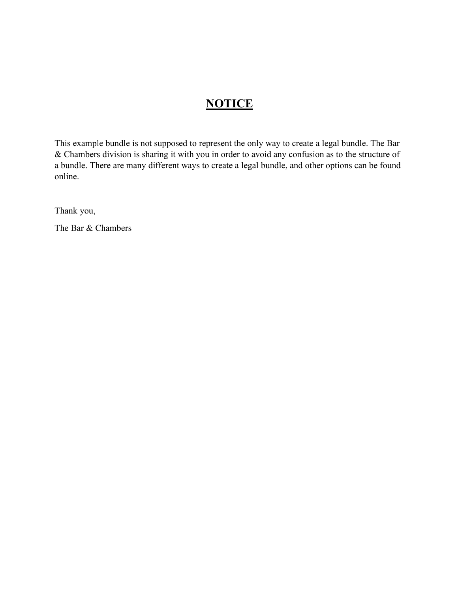### **NOTICE**

This example bundle is not supposed to represent the only way to create a legal bundle. The Bar & Chambers division is sharing it with you in order to avoid any confusion as to the structure of a bundle. There are many different ways to create a legal bundle, and other options can be found online.

Thank you,

The Bar & Chambers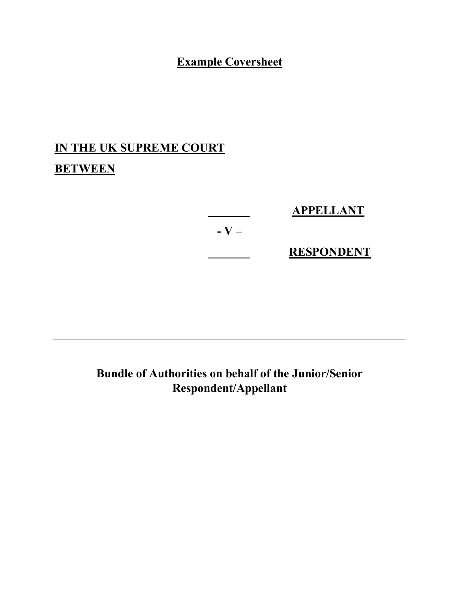## **Example Coversheet**

# **IN THE UK SUPREME COURT BETWEEN**

|           | <b>APPELLANT</b>  |
|-----------|-------------------|
| $-$ V $-$ |                   |
|           | <b>RESPONDENT</b> |

## **Bundle of Authorities on behalf of the Junior/Senior Respondent/Appellant**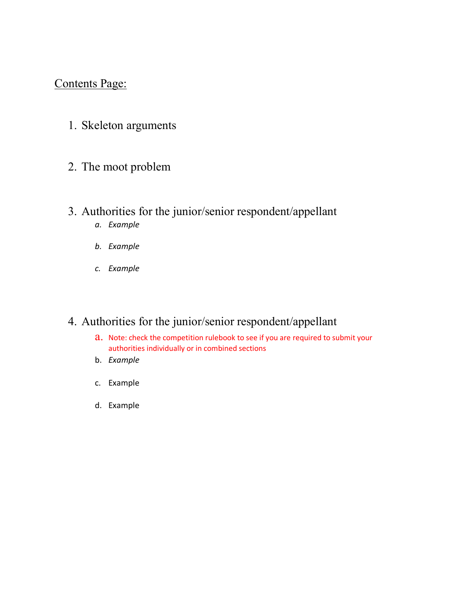### Contents Page:

1. Skeleton arguments

#### 2. The moot problem

- 3. Authorities for the junior/senior respondent/appellant
	- *a. Example*
	- *b. Example*
	- *c. Example*

### 4. Authorities for the junior/senior respondent/appellant

- a. Note: check the competition rulebook to see if you are required to submit your authorities individually or in combined sections
- b. *Example*
- c. Example
- d. Example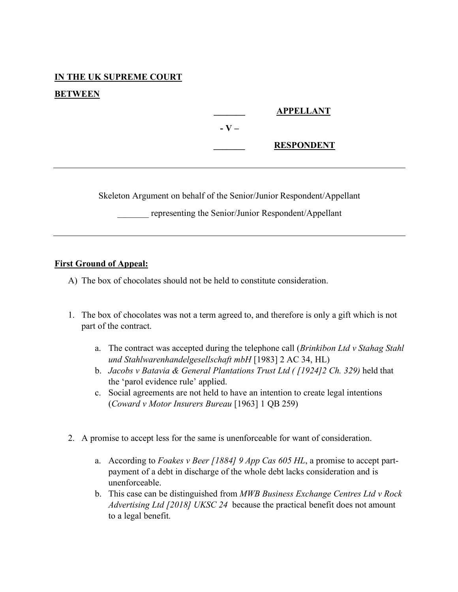# **IN THE UK SUPREME COURT**

#### **BETWEEN**

 **\_\_\_\_\_\_\_ APPELLANT - V – \_\_\_\_\_\_\_ RESPONDENT**

Skeleton Argument on behalf of the Senior/Junior Respondent/Appellant

representing the Senior/Junior Respondent/Appellant

#### **First Ground of Appeal:**

A) The box of chocolates should not be held to constitute consideration.

- 1. The box of chocolates was not a term agreed to, and therefore is only a gift which is not part of the contract.
	- a. The contract was accepted during the telephone call (*Brinkibon Ltd v Stahag Stahl und Stahlwarenhandelgesellschaft mbH* [1983] 2 AC 34, HL)
	- b. *Jacobs v Batavia & General Plantations Trust Ltd ( [1924]2 Ch. 329)* held that the 'parol evidence rule' applied.
	- c. Social agreements are not held to have an intention to create legal intentions (*Coward v Motor Insurers Bureau* [1963] 1 QB 259)
- 2. A promise to accept less for the same is unenforceable for want of consideration.
	- a. According to *Foakes v Beer [1884] 9 App Cas 605 HL*, a promise to accept partpayment of a debt in discharge of the whole debt lacks consideration and is unenforceable.
	- b. This case can be distinguished from *MWB Business Exchange Centres Ltd v Rock Advertising Ltd [2018] UKSC 24* because the practical benefit does not amount to a legal benefit.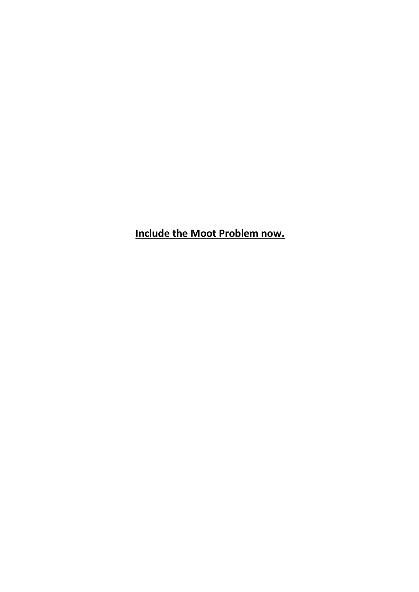**Include the Moot Problem now.**